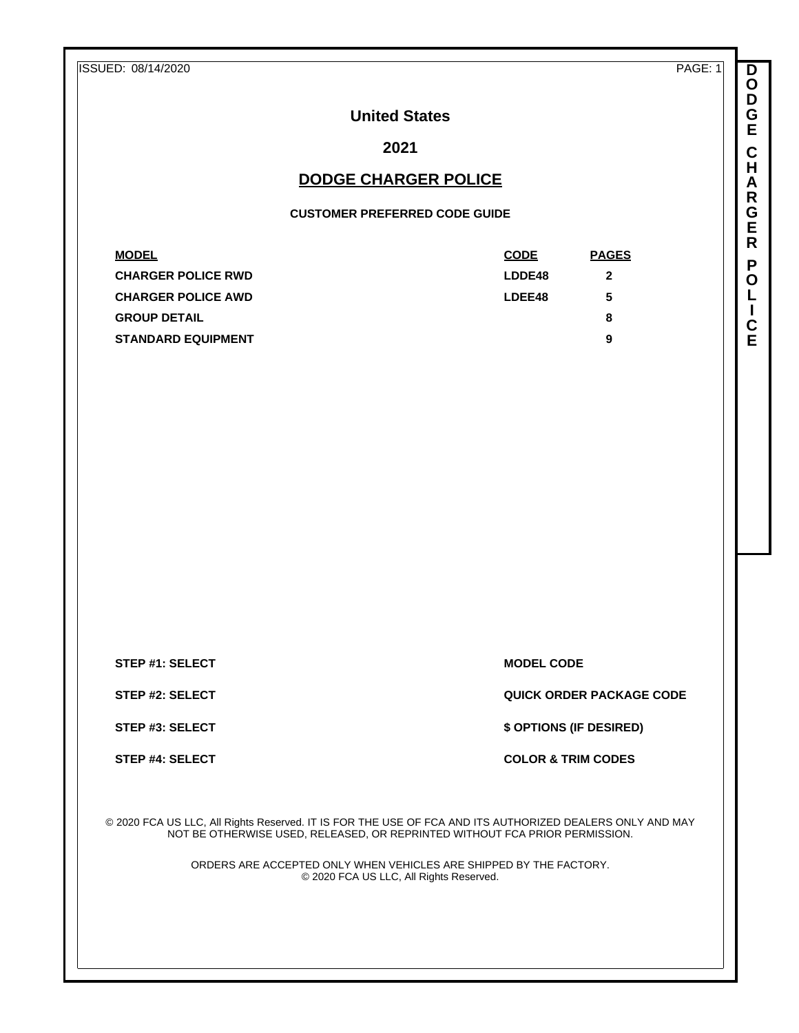| ISSUED: 08/14/2020 | PAGE: 1 |
|--------------------|---------|
|--------------------|---------|

**D O D G E C H A R G E R P O L I C E**

# **United States**

# **2021**

## **DODGE CHARGER POLICE**

#### **CUSTOMER PREFERRED CODE GUIDE**

| <b>MODEL</b>              | <b>CODE</b> | <b>PAGES</b> |
|---------------------------|-------------|--------------|
| <b>CHARGER POLICE RWD</b> | LDDE48      | 2            |
| <b>CHARGER POLICE AWD</b> | LDEE48      | 5            |
| <b>GROUP DETAIL</b>       |             | 8            |
| <b>STANDARD EQUIPMENT</b> |             | 9            |

**STEP #1: SELECT MODEL CODE** 

**STEP #2: SELECT QUICK ORDER PACKAGE CODE**

**STEP #3: SELECT \$ OPTIONS (IF DESIRED)**

**STEP #4: SELECT COLOR & TRIM CODES** 

© 2020 FCA US LLC, All Rights Reserved. IT IS FOR THE USE OF FCA AND ITS AUTHORIZED DEALERS ONLY AND MAY NOT BE OTHERWISE USED, RELEASED, OR REPRINTED WITHOUT FCA PRIOR PERMISSION.

> ORDERS ARE ACCEPTED ONLY WHEN VEHICLES ARE SHIPPED BY THE FACTORY. © 2020 FCA US LLC, All Rights Reserved.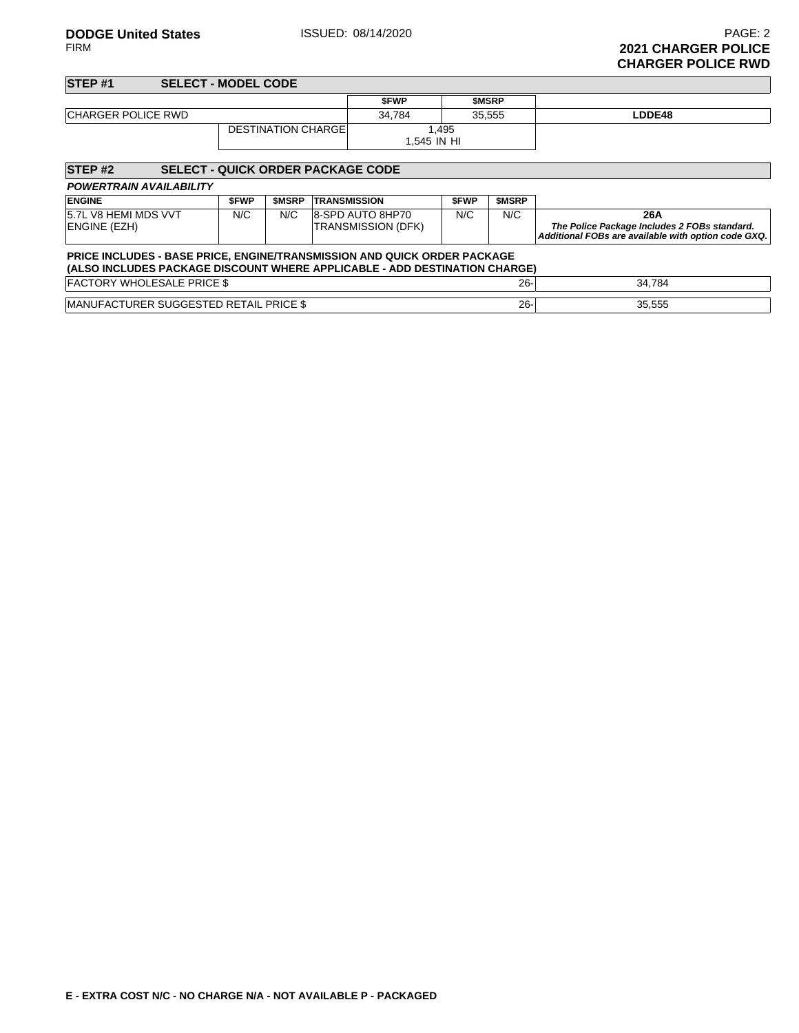| <b>STEP#1</b>             | <b>SELECT - MODEL CODE</b>               |  |                      |              |        |
|---------------------------|------------------------------------------|--|----------------------|--------------|--------|
|                           |                                          |  | <b>SFWP</b>          | <b>SMSRP</b> |        |
| <b>CHARGER POLICE RWD</b> |                                          |  | 34.784               | 35.555       | LDDE48 |
| <b>DESTINATION CHARGE</b> |                                          |  | 1.495<br>1.545 IN HI |              |        |
| STEP#2                    | <b>SELECT - QUICK ORDER PACKAGE CODE</b> |  |                      |              |        |

| <b>POWERTRAIN AVAILABILITY</b>                                                                                                                                |             |              |                           |             |              |                                                                                                     |  |  |
|---------------------------------------------------------------------------------------------------------------------------------------------------------------|-------------|--------------|---------------------------|-------------|--------------|-----------------------------------------------------------------------------------------------------|--|--|
| <b>ENGINE</b>                                                                                                                                                 | <b>SFWP</b> | <b>SMSRP</b> | <b>TRANSMISSION</b>       | <b>SFWP</b> | <b>SMSRP</b> |                                                                                                     |  |  |
| 5.7L V8 HEMI MDS VVT                                                                                                                                          | N/C         | N/C          | 8-SPD AUTO 8HP70          | N/C         | N/C          | 26A                                                                                                 |  |  |
| ENGINE (EZH)                                                                                                                                                  |             |              | <b>TRANSMISSION (DFK)</b> |             |              | The Police Package Includes 2 FOBs standard.<br>Additional FOBs are available with option code GXQ. |  |  |
| <b>PRICE INCLUDES - BASE PRICE, ENGINE/TRANSMISSION AND QUICK ORDER PACKAGE</b><br>(ALSO INCLUDES PACKAGE DISCOUNT WHERE APPLICABLE - ADD DESTINATION CHARGE) |             |              |                           |             |              |                                                                                                     |  |  |
| <b>FACTORY WHOLESALE PRICE \$</b><br>$26 -$<br>34.784                                                                                                         |             |              |                           |             |              |                                                                                                     |  |  |
| MANUFACTURER SUGGESTED RETAIL PRICE \$                                                                                                                        |             |              |                           |             | $26 -$       | 35,555                                                                                              |  |  |

**E - EXTRA COST N/C - NO CHARGE N/A - NOT AVAILABLE P - PACKAGED**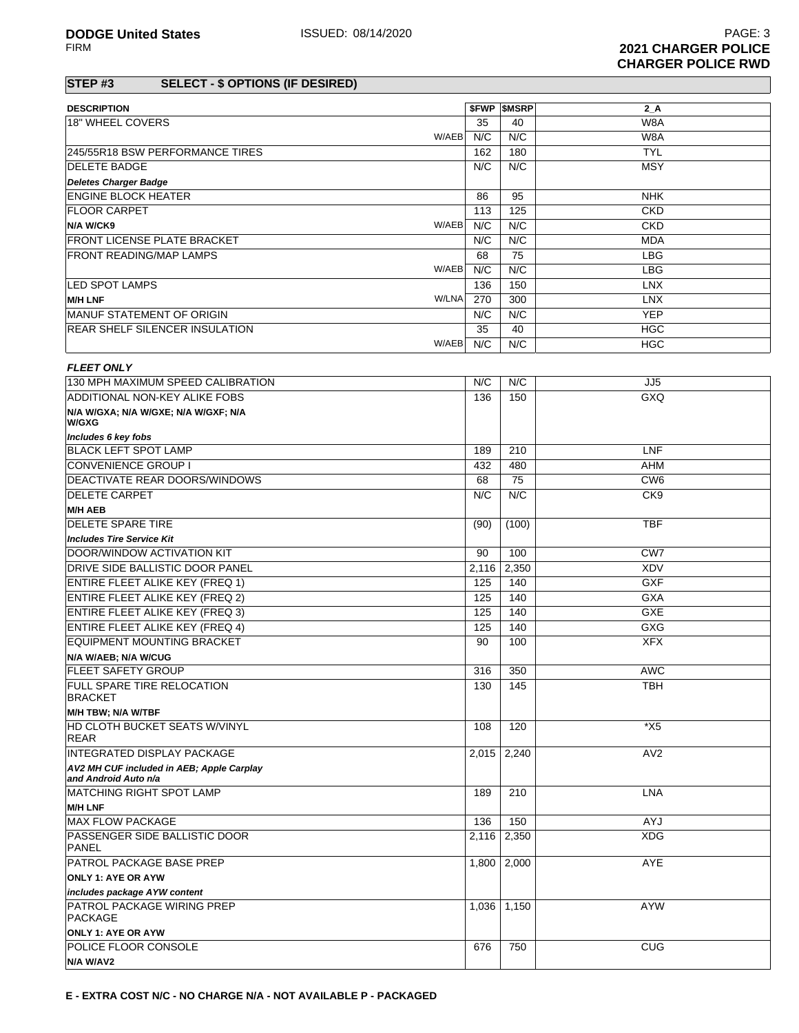### **STEP #3 SELECT - \$ OPTIONS (IF DESIRED)**

| <b>DESCRIPTION</b>                     | <b>SFWP</b> | <b>SMSRP</b> | 2 A        |
|----------------------------------------|-------------|--------------|------------|
| 18" WHEEL COVERS                       | 35          | 40           | W8A        |
| W/AEB                                  | N/C         | N/C          | W8A        |
| 245/55R18 BSW PERFORMANCE TIRES        | 162         | 180          | <b>TYL</b> |
| <b>IDELETE BADGE</b>                   | N/C         | N/C          | <b>MSY</b> |
| <b>Deletes Charger Badge</b>           |             |              |            |
| <b>ENGINE BLOCK HEATER</b>             | 86          | 95           | <b>NHK</b> |
| <b>FLOOR CARPET</b>                    | 113         | 125          | <b>CKD</b> |
| W/AEB<br>N/A W/CK9                     | N/C         | N/C          | CKD        |
| <b>IFRONT LICENSE PLATE BRACKET</b>    | N/C         | N/C          | <b>MDA</b> |
| <b>FRONT READING/MAP LAMPS</b>         | 68          | 75           | LBG        |
| W/AEB                                  | N/C         | N/C          | <b>LBG</b> |
| <b>LED SPOT LAMPS</b>                  | 136         | 150          | LNX        |
| W/LNA<br><b>M/H LNF</b>                | 270         | 300          | <b>LNX</b> |
| <b>IMANUF STATEMENT OF ORIGIN</b>      | N/C         | N/C          | <b>YEP</b> |
| <b>IREAR SHELF SILENCER INSULATION</b> | 35          | 40           | <b>HGC</b> |
| W/AEB                                  | N/C         | N/C          | <b>HGC</b> |

| <b>FLEET ONLY</b>                                                 |       |       |                 |
|-------------------------------------------------------------------|-------|-------|-----------------|
| 130 MPH MAXIMUM SPEED CALIBRATION                                 | N/C   | N/C   | JJ <sub>5</sub> |
| ADDITIONAL NON-KEY ALIKE FOBS                                     | 136   | 150   | GXQ             |
| N/A W/GXA; N/A W/GXE; N/A W/GXF; N/A<br>W/GXG                     |       |       |                 |
| Includes 6 key fobs                                               |       |       |                 |
| <b>BLACK LEFT SPOT LAMP</b>                                       | 189   | 210   | LNF             |
| <b>CONVENIENCE GROUP I</b>                                        | 432   | 480   | <b>AHM</b>      |
| DEACTIVATE REAR DOORS/WINDOWS                                     | 68    | 75    | CW <sub>6</sub> |
| <b>DELETE CARPET</b>                                              | N/C   | N/C   | CK <sub>9</sub> |
| <b>M/H AEB</b>                                                    |       |       |                 |
| <b>DELETE SPARE TIRE</b>                                          | (90)  | (100) | <b>TBF</b>      |
| <b>Includes Tire Service Kit</b>                                  |       |       |                 |
| DOOR/WINDOW ACTIVATION KIT                                        | 90    | 100   | CW <sub>7</sub> |
| <b>DRIVE SIDE BALLISTIC DOOR PANEL</b>                            | 2,116 | 2.350 | <b>XDV</b>      |
| <b>ENTIRE FLEET ALIKE KEY (FREQ 1)</b>                            | 125   | 140   | <b>GXF</b>      |
| <b>ENTIRE FLEET ALIKE KEY (FREQ 2)</b>                            | 125   | 140   | <b>GXA</b>      |
| <b>ENTIRE FLEET ALIKE KEY (FREQ 3)</b>                            | 125   | 140   | <b>GXE</b>      |
| <b>ENTIRE FLEET ALIKE KEY (FREQ 4)</b>                            | 125   | 140   | GXG             |
| <b>EQUIPMENT MOUNTING BRACKET</b>                                 | 90    | 100   | <b>XFX</b>      |
| N/A W/AEB; N/A W/CUG                                              |       |       |                 |
| <b>FLEET SAFETY GROUP</b>                                         | 316   | 350   | <b>AWC</b>      |
| <b>FULL SPARE TIRE RELOCATION</b><br><b>BRACKET</b>               | 130   | 145   | <b>TBH</b>      |
| M/H TBW; N/A W/TBF                                                |       |       |                 |
| <b>HD CLOTH BUCKET SEATS W/VINYL</b><br><b>REAR</b>               | 108   | 120   | $*$ X5          |
| <b>INTEGRATED DISPLAY PACKAGE</b>                                 | 2.015 | 2,240 | AV2             |
| AV2 MH CUF included in AEB; Apple Carplay<br>and Android Auto n/a |       |       |                 |
| <b>IMATCHING RIGHT SPOT LAMP</b>                                  | 189   | 210   | <b>LNA</b>      |
| <b>M/H LNF</b>                                                    |       |       |                 |
| <b>MAX FLOW PACKAGE</b>                                           | 136   | 150   | AYJ             |
| <b>PASSENGER SIDE BALLISTIC DOOR</b><br><b>PANEL</b>              | 2,116 | 2,350 | <b>XDG</b>      |
| <b>PATROL PACKAGE BASE PREP</b>                                   | 1,800 | 2,000 | <b>AYE</b>      |
| <b>ONLY 1: AYE OR AYW</b>                                         |       |       |                 |
| includes package AYW content                                      |       |       |                 |
| PATROL PACKAGE WIRING PREP<br><b>PACKAGE</b>                      | 1,036 | 1,150 | <b>AYW</b>      |
| <b>ONLY 1: AYE OR AYW</b>                                         |       |       |                 |
| <b>POLICE FLOOR CONSOLE</b>                                       | 676   | 750   | <b>CUG</b>      |
| N/A W/AV2                                                         |       |       |                 |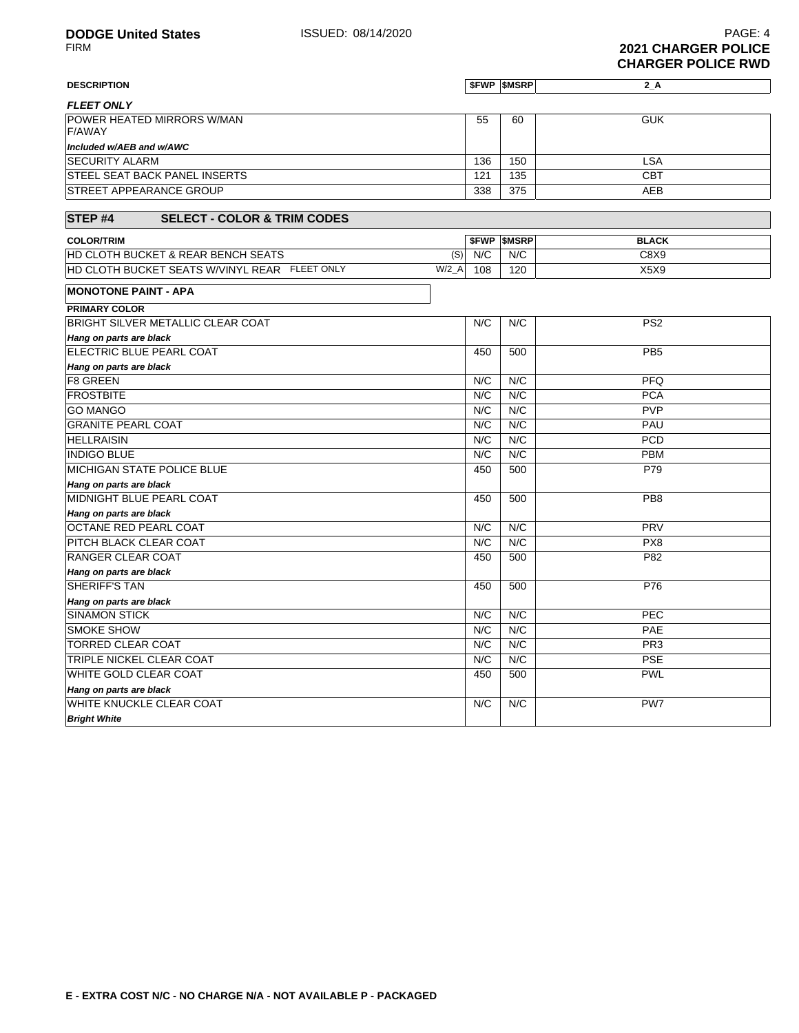| <b>DESCRIPTION</b>                                 |     | <b><i>SFWP SMSRP</i></b> | $2_A$      |
|----------------------------------------------------|-----|--------------------------|------------|
| <b>FLEET ONLY</b>                                  |     |                          |            |
| <b>POWER HEATED MIRRORS W/MAN</b><br><b>F/AWAY</b> | 55  | 60                       | <b>GUK</b> |
| Included w/AEB and w/AWC                           |     |                          |            |
| <b>ISECURITY ALARM</b>                             | 136 | 150                      | LSA        |
| <b>STEEL SEAT BACK PANEL INSERTS</b>               | 121 | 135                      | <b>CBT</b> |
| <b>STREET APPEARANCE GROUP</b>                     | 338 | 375                      | AEB        |

#### **STEP #4 SELECT - COLOR & TRIM CODES**

| <b>COLOR/TRIM</b>                                                     |     | <b>SFWP SMSRP</b> | <b>BLACK</b> |
|-----------------------------------------------------------------------|-----|-------------------|--------------|
| <b>HD CLOTH BUCKET &amp; REAR BENCH SEATS</b><br>(S)                  | N/C | N/C               | C8X9         |
| W/2<br><b>HD CLOTH BUCKET SEATS W/VINYL REAR</b><br><b>FLEET ONLY</b> | 108 | 120               | X5X9         |

### **MONOTONE PAINT - APA PRIMARY COLOR**

| PRIMART CULUR                     |     |     |                 |
|-----------------------------------|-----|-----|-----------------|
| BRIGHT SILVER METALLIC CLEAR COAT | N/C | N/C | PS <sub>2</sub> |
| Hang on parts are black           |     |     |                 |
| ELECTRIC BLUE PEARL COAT          | 450 | 500 | PB <sub>5</sub> |
| Hang on parts are black           |     |     |                 |
| <b>F8 GREEN</b>                   | N/C | N/C | <b>PFQ</b>      |
| <b>FROSTBITE</b>                  | N/C | N/C | <b>PCA</b>      |
| <b>GO MANGO</b>                   | N/C | N/C | <b>PVP</b>      |
| <b>GRANITE PEARL COAT</b>         | N/C | N/C | PAU             |
| <b>HELLRAISIN</b>                 | N/C | N/C | <b>PCD</b>      |
| <b>INDIGO BLUE</b>                | N/C | N/C | <b>PBM</b>      |
| <b>MICHIGAN STATE POLICE BLUE</b> | 450 | 500 | P79             |
| Hang on parts are black           |     |     |                 |
| MIDNIGHT BLUE PEARL COAT          | 450 | 500 | PB <sub>8</sub> |
| Hang on parts are black           |     |     |                 |
| <b>OCTANE RED PEARL COAT</b>      | N/C | N/C | <b>PRV</b>      |
| <b>PITCH BLACK CLEAR COAT</b>     | N/C | N/C | PX8             |
| <b>RANGER CLEAR COAT</b>          | 450 | 500 | P82             |
| Hang on parts are black           |     |     |                 |
| <b>SHERIFF'S TAN</b>              | 450 | 500 | P76             |
| Hang on parts are black           |     |     |                 |
| <b>SINAMON STICK</b>              | N/C | N/C | PEC             |
| <b>SMOKE SHOW</b>                 | N/C | N/C | PAE             |
| <b>TORRED CLEAR COAT</b>          | N/C | N/C | PR <sub>3</sub> |
| <b>TRIPLE NICKEL CLEAR COAT</b>   | N/C | N/C | <b>PSE</b>      |
| <b>WHITE GOLD CLEAR COAT</b>      | 450 | 500 | <b>PWL</b>      |
| Hang on parts are black           |     |     |                 |
| <b>WHITE KNUCKLE CLEAR COAT</b>   | N/C | N/C | PW7             |
| <b>Bright White</b>               |     |     |                 |
|                                   |     |     |                 |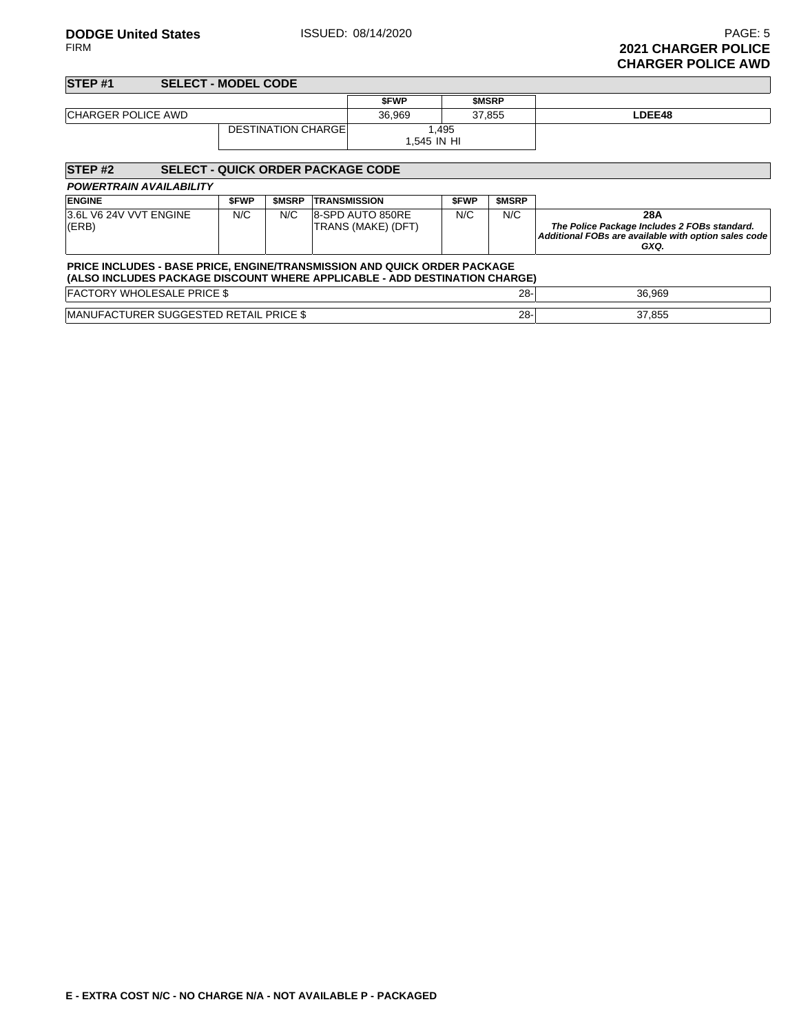**DODGE United States ISSUED: 08/14/2020 PAGE: 5**<br>FIRM **2021 CHARGER POLICE 2021 CHARGER POLICE CHARGER POLICE AWD**

#### **STEP #1 SELECT - MODEL CODE \$FWP \$MSRP CHARGER POLICE AWD** 36,969 37,855 **LDEE48** DESTINATION CHARGE 1,495 1,545 IN HI

| STEP <sub>#2</sub><br><b>SELECT - QUICK ORDER PACKAGE CODE</b>                                                                                                |             |              |                                        |             |              |                                                                                                                     |  |  |
|---------------------------------------------------------------------------------------------------------------------------------------------------------------|-------------|--------------|----------------------------------------|-------------|--------------|---------------------------------------------------------------------------------------------------------------------|--|--|
| <b>POWERTRAIN AVAILABILITY</b>                                                                                                                                |             |              |                                        |             |              |                                                                                                                     |  |  |
| <b>ENGINE</b>                                                                                                                                                 | <b>SFWP</b> | <b>SMSRP</b> | <b>TRANSMISSION</b>                    | <b>SFWP</b> | <b>SMSRP</b> |                                                                                                                     |  |  |
| 3.6L V6 24V VVT ENGINE<br>(ERB)                                                                                                                               | N/C         | N/C          | 8-SPD AUTO 850RE<br>TRANS (MAKE) (DFT) | N/C         | N/C          | 28A<br>The Police Package Includes 2 FOBs standard.<br>Additional FOBs are available with option sales code<br>GXQ. |  |  |
| <b>PRICE INCLUDES - BASE PRICE, ENGINE/TRANSMISSION AND QUICK ORDER PACKAGE</b><br>(ALSO INCLUDES PACKAGE DISCOUNT WHERE APPLICABLE - ADD DESTINATION CHARGE) |             |              |                                        |             |              |                                                                                                                     |  |  |
| <b>FACTORY WHOLESALE PRICE \$</b>                                                                                                                             |             |              |                                        |             | $28 -$       | 36.969                                                                                                              |  |  |
| MANUFACTURER SUGGESTED RETAIL PRICE \$                                                                                                                        |             |              |                                        |             | $28 -$       | 37,855                                                                                                              |  |  |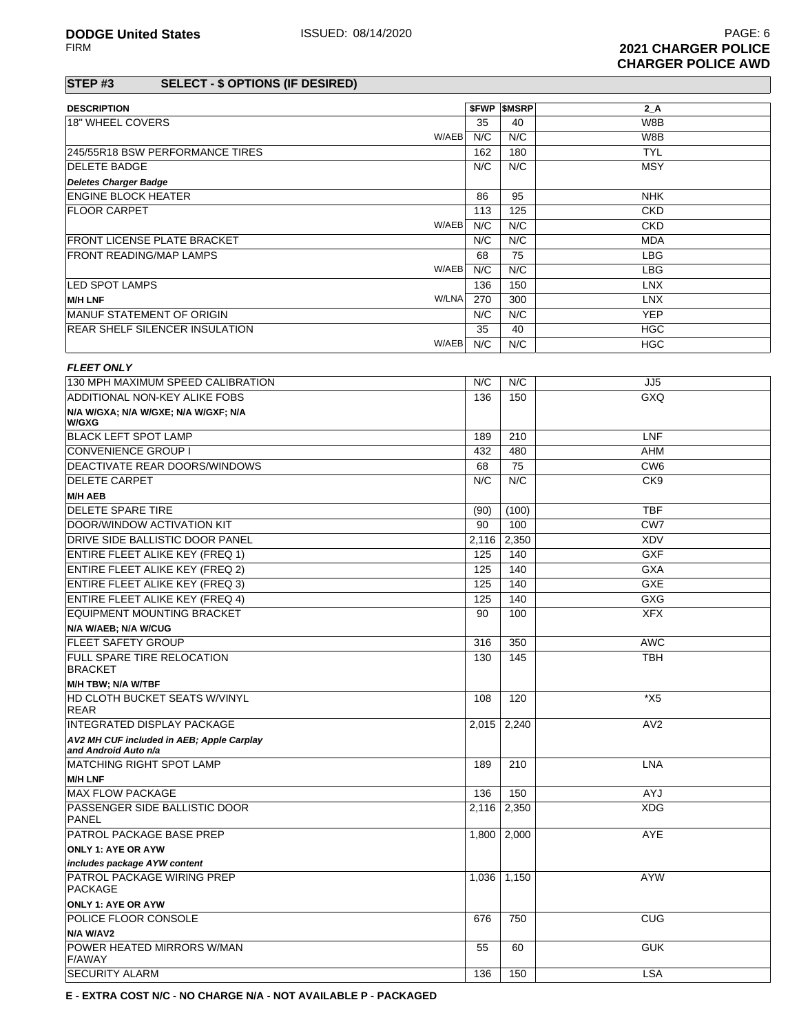### **STEP #3 SELECT - \$ OPTIONS (IF DESIRED)**

| <b>DESCRIPTION</b>                        |       | <b><i>SFWP SMSRP</i></b> | $2_A$                   |
|-------------------------------------------|-------|--------------------------|-------------------------|
| 18" WHEEL COVERS                          | 35    | 40                       | W8B                     |
| W/AEB                                     | N/C   | N/C                      | W8B                     |
| 245/55R18 BSW PERFORMANCE TIRES           | 162   | 180                      | <b>TYL</b>              |
| <b>DELETE BADGE</b>                       | N/C   | N/C                      | <b>MSY</b>              |
|                                           |       |                          |                         |
| <b>Deletes Charger Badge</b>              |       |                          |                         |
| <b>ENGINE BLOCK HEATER</b>                | 86    | 95                       | <b>NHK</b>              |
| <b>FLOOR CARPET</b>                       | 113   | 125                      | <b>CKD</b>              |
| W/AEB                                     | N/C   | N/C                      | <b>CKD</b>              |
| FRONT LICENSE PLATE BRACKET               | N/C   | N/C                      | <b>MDA</b>              |
| <b>FRONT READING/MAP LAMPS</b>            | 68    | 75                       | <b>LBG</b>              |
| W/AEB                                     | N/C   | N/C                      | <b>LBG</b>              |
| <b>LED SPOT LAMPS</b>                     | 136   | 150                      | <b>LNX</b>              |
| W/LNA<br><b>M/H LNF</b>                   | 270   | 300                      | <b>LNX</b>              |
| MANUF STATEMENT OF ORIGIN                 | N/C   | N/C                      | <b>YEP</b>              |
| <b>REAR SHELF SILENCER INSULATION</b>     | 35    | 40                       | <b>HGC</b>              |
| W/AEB                                     | N/C   | N/C                      | <b>HGC</b>              |
|                                           |       |                          |                         |
| <b>FLEET ONLY</b>                         |       |                          |                         |
| 130 MPH MAXIMUM SPEED CALIBRATION         | N/C   | N/C                      | JJ <sub>5</sub>         |
| ADDITIONAL NON-KEY ALIKE FOBS             | 136   | 150                      | <b>GXQ</b>              |
| N/A W/GXA; N/A W/GXE; N/A W/GXF; N/A      |       |                          |                         |
| W/GXG                                     |       |                          |                         |
| <b>BLACK LEFT SPOT LAMP</b>               | 189   | 210                      | <b>LNF</b>              |
| CONVENIENCE GROUP I                       | 432   | 480                      | AHM                     |
| DEACTIVATE REAR DOORS/WINDOWS             | 68    | 75                       | CW <sub>6</sub>         |
| DELETE CARPET                             | N/C   | N/C                      | CK <sub>9</sub>         |
| <b>M/H AEB</b>                            |       |                          |                         |
| <b>DELETE SPARE TIRE</b>                  | (90)  | (100)                    | <b>TBF</b>              |
| DOOR/WINDOW ACTIVATION KIT                | 90    | 100                      | CW <sub>7</sub>         |
| <b>DRIVE SIDE BALLISTIC DOOR PANEL</b>    | 2,116 | 2,350                    | <b>XDV</b>              |
| <b>ENTIRE FLEET ALIKE KEY (FREQ 1)</b>    | 125   | 140                      | <b>GXF</b>              |
| <b>ENTIRE FLEET ALIKE KEY (FREQ 2)</b>    | 125   | 140                      | <b>GXA</b>              |
| <b>ENTIRE FLEET ALIKE KEY (FREQ 3)</b>    | 125   | 140                      | GXE                     |
| <b>ENTIRE FLEET ALIKE KEY (FREQ 4)</b>    | 125   | 140                      | GXG                     |
| <b>EQUIPMENT MOUNTING BRACKET</b>         | 90    | 100                      | <b>XFX</b>              |
| N/A W/AEB; N/A W/CUG                      |       |                          |                         |
| <b>FLEET SAFETY GROUP</b>                 | 316   | 350                      | <b>AWC</b>              |
| <b>FULL SPARE TIRE RELOCATION</b>         | 130   | 145                      | <b>TBH</b>              |
| BRACKET                                   |       |                          |                         |
| M/H TBW; N/A W/TBF                        |       |                          |                         |
| HD CLOTH BUCKET SEATS W/VINYL             | 108   | 120                      | $\overline{\text{X}}$ 5 |
| <b>REAR</b>                               |       |                          |                         |
| <b>INTEGRATED DISPLAY PACKAGE</b>         | 2,015 | 2,240                    | AV <sub>2</sub>         |
| AV2 MH CUF included in AEB; Apple Carplay |       |                          |                         |
| and Android Auto n/a                      |       |                          |                         |
| MATCHING RIGHT SPOT LAMP                  | 189   | 210                      | <b>LNA</b>              |
| <b>M/H LNF</b>                            |       |                          |                         |
| <b>MAX FLOW PACKAGE</b>                   | 136   | 150                      | AYJ                     |
| PASSENGER SIDE BALLISTIC DOOR             | 2,116 | 2,350                    | <b>XDG</b>              |
| PANEL                                     |       |                          |                         |
| PATROL PACKAGE BASE PREP                  | 1,800 | 2,000                    | AYE                     |
| <b>ONLY 1: AYE OR AYW</b>                 |       |                          |                         |
| includes package AYW content              |       |                          |                         |
| <b>PATROL PACKAGE WIRING PREP</b>         | 1,036 | 1,150                    | <b>AYW</b>              |
| <b>PACKAGE</b>                            |       |                          |                         |
| <b>ONLY 1: AYE OR AYW</b>                 |       |                          |                         |
| POLICE FLOOR CONSOLE                      | 676   | 750                      | <b>CUG</b>              |
| N/A W/AV2                                 |       |                          |                         |
| POWER HEATED MIRRORS W/MAN                | 55    | 60                       | <b>GUK</b>              |
| <b>F/AWAY</b>                             |       |                          |                         |

**E - EXTRA COST N/C - NO CHARGE N/A - NOT AVAILABLE P - PACKAGED**

SECURITY ALARM LSA NEWSLET CONTROL CONTROL CONTROL CONTROL CONTROL CONTROL CONTROL CONTROL CONTROL CONTROL CONTROL CONTROL CONTROL CONTROL CONTROL CONTROL CONTROL CONTROL CONTROL CONTROL CONTROL CONTROL CONTROL CONTROL CON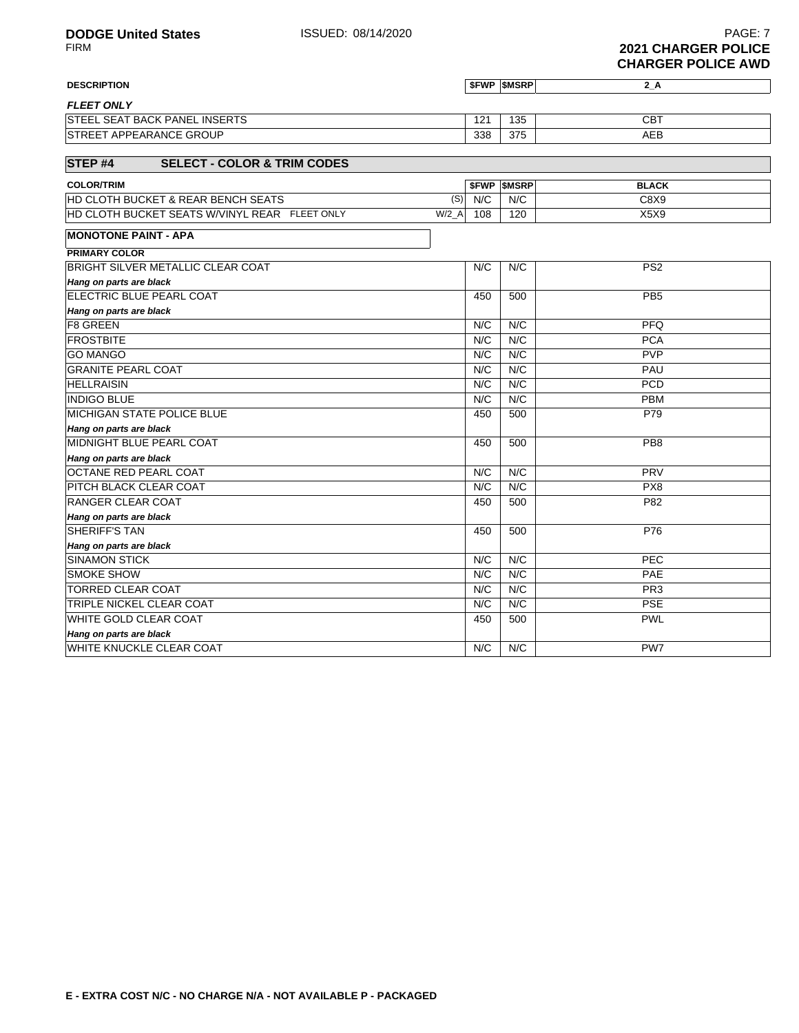## **DESCRIPTION \$FWP \$MSRP 2\_A**

| <b>FLEET ONLY</b>                         |     |     |     |
|-------------------------------------------|-----|-----|-----|
| . SEAT BACK PANEL INSERTS<br><b>STEEL</b> | 121 | 135 | CBT |
| <b>ISTREET APPEARANCE GROUP</b>           | 338 | 375 | AEB |

### **STEP #4 SELECT - COLOR & TRIM CODES**

| <b>COLOR/TRIM</b>                                                     |     | <b>SFWP SMSRP</b> | <b>BLACK</b> |
|-----------------------------------------------------------------------|-----|-------------------|--------------|
| (S)<br><b>IHD CLOTH BUCKET &amp; REAR BENCH SEATS</b>                 | N/C | N/C               | C8X9         |
| W/2<br><b>HD CLOTH BUCKET SEATS W/VINYL REAR</b><br><b>FLEET ONLY</b> | 108 | 120               | X5X9         |

# **MONOTONE PAINT - APA**

| <b>PRIMARY COLOR</b>                     |     |     |                 |
|------------------------------------------|-----|-----|-----------------|
| <b>BRIGHT SILVER METALLIC CLEAR COAT</b> | N/C | N/C | PS <sub>2</sub> |
| Hang on parts are black                  |     |     |                 |
| ELECTRIC BLUE PEARL COAT                 | 450 | 500 | PB <sub>5</sub> |
| Hang on parts are black                  |     |     |                 |
| <b>F8 GREEN</b>                          | N/C | N/C | <b>PFQ</b>      |
| <b>FROSTBITE</b>                         | N/C | N/C | <b>PCA</b>      |
| <b>GO MANGO</b>                          | N/C | N/C | <b>PVP</b>      |
| <b>GRANITE PEARL COAT</b>                | N/C | N/C | PAU             |
| <b>HELLRAISIN</b>                        | N/C | N/C | <b>PCD</b>      |
| <b>INDIGO BLUE</b>                       | N/C | N/C | <b>PBM</b>      |
| <b>MICHIGAN STATE POLICE BLUE</b>        | 450 | 500 | P79             |
| Hang on parts are black                  |     |     |                 |
| MIDNIGHT BLUE PEARL COAT                 | 450 | 500 | PB <sub>8</sub> |
| Hang on parts are black                  |     |     |                 |
| <b>OCTANE RED PEARL COAT</b>             | N/C | N/C | PRV             |
| <b>PITCH BLACK CLEAR COAT</b>            | N/C | N/C | PX <sub>8</sub> |
| <b>RANGER CLEAR COAT</b>                 | 450 | 500 | P82             |
| Hang on parts are black                  |     |     |                 |
| <b>SHERIFF'S TAN</b>                     | 450 | 500 | P76             |
| Hang on parts are black                  |     |     |                 |
| <b>SINAMON STICK</b>                     | N/C | N/C | <b>PEC</b>      |
| <b>SMOKE SHOW</b>                        | N/C | N/C | <b>PAE</b>      |
| <b>TORRED CLEAR COAT</b>                 | N/C | N/C | PR <sub>3</sub> |
| <b>TRIPLE NICKEL CLEAR COAT</b>          | N/C | N/C | <b>PSE</b>      |
| <b>WHITE GOLD CLEAR COAT</b>             | 450 | 500 | <b>PWL</b>      |
| Hang on parts are black                  |     |     |                 |
| <b>WHITE KNUCKLE CLEAR COAT</b>          | N/C | N/C | PW7             |
|                                          |     |     |                 |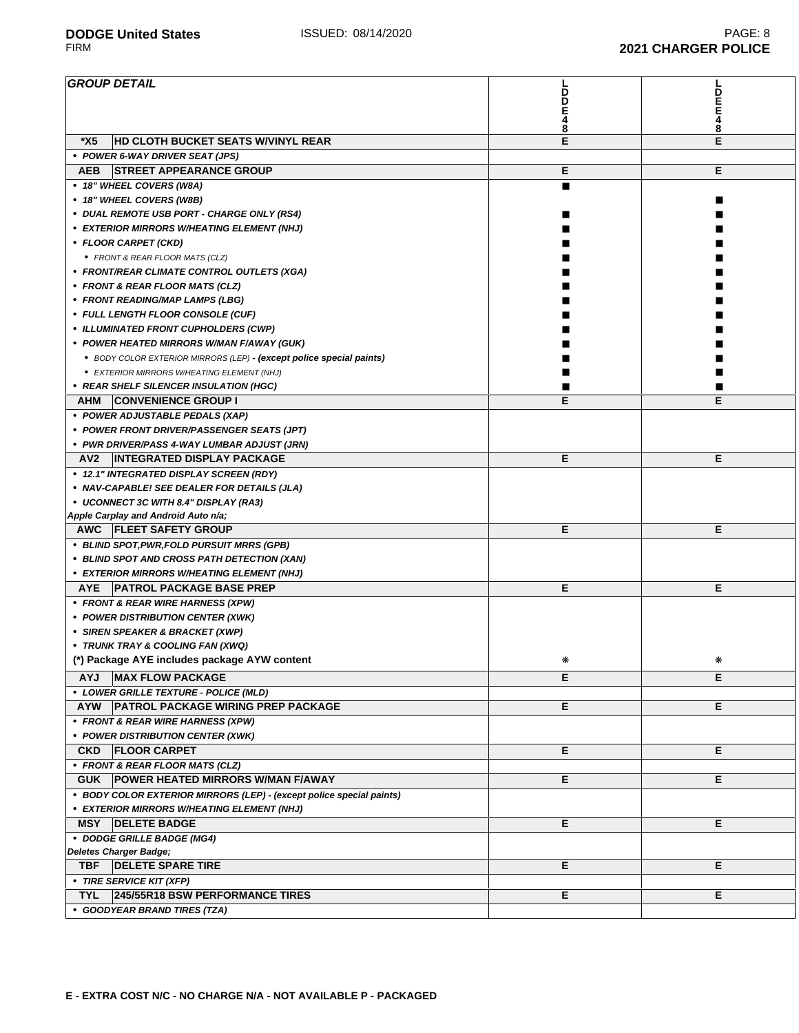#### **GROUP DETAIL D D E 4 8 L D E E 4 8 \*X5 HD CLOTH BUCKET SEATS W/VINYL REAR E E • POWER 6-WAY DRIVER SEAT (JPS) AEB STREET APPEARANCE GROUP E E • 18" WHEEL COVERS (W8A)** ■ **• 18" WHEEL COVERS (W8B)** ■ **• DUAL REMOTE USB PORT - CHARGE ONLY (RS4)** ■ ■ **• EXTERIOR MIRRORS W/HEATING ELEMENT (NHJ)** ■ ■ **• FLOOR CARPET (CKD)** ■ ■ **•** FRONT & REAR FLOOR MATS (CLZ) ■ ■  $\bullet$  FRONT/REAR CLIMATE CONTROL OUTLETS (XGA) **• FRONT & REAR FLOOR MATS (CLZ)** ■ ■ **• FRONT READING/MAP LAMPS (LBG)** ■ ■ **•** FULL LENGTH FLOOR CONSOLE (CUF) **•** ILLUMINATED FRONT CUPHOLDERS (CWP) **• POWER HEATED MIRRORS W/MAN F/AWAY (GUK) •** BODY COLOR EXTERIOR MIRRORS (LEP) **- (except police special paints) •** EXTERIOR MIRRORS W/HEATING ELEMENT (NHJ) **•** REAR SHELF SILENCER INSULATION (HGC) **AHM CONVENIENCE GROUP I E E • POWER ADJUSTABLE PEDALS (XAP) • POWER FRONT DRIVER/PASSENGER SEATS (JPT) • PWR DRIVER/PASS 4-WAY LUMBAR ADJUST (JRN) AV2 INTEGRATED DISPLAY PACKAGE E E • 12.1" INTEGRATED DISPLAY SCREEN (RDY) • NAV-CAPABLE! SEE DEALER FOR DETAILS (JLA) • UCONNECT 3C WITH 8.4" DISPLAY (RA3) Apple Carplay and Android Auto n/a; AWC FLEET SAFETY GROUP E E • BLIND SPOT,PWR,FOLD PURSUIT MRRS (GPB)**  $\bullet$  **BLIND SPOT AND CROSS BATH D • EXTERIOR MIRRORS W/HEATING ELEMENT (NHJ)**

|            | • BLIND SPOT AND CROSS PATH DETECTION (XAN)                          |   |    |
|------------|----------------------------------------------------------------------|---|----|
|            | • EXTERIOR MIRRORS W/HEATING ELEMENT (NHJ)                           |   |    |
| <b>AYE</b> | <b>PATROL PACKAGE BASE PREP</b>                                      | Е | E. |
|            | • FRONT & REAR WIRE HARNESS (XPW)                                    |   |    |
|            | • POWER DISTRIBUTION CENTER (XWK)                                    |   |    |
|            | • SIREN SPEAKER & BRACKET (XWP)                                      |   |    |
|            | • TRUNK TRAY & COOLING FAN (XWQ)                                     |   |    |
|            | (*) Package AYE includes package AYW content                         | ⋇ | ⋇  |
| <b>AYJ</b> | <b>MAX FLOW PACKAGE</b>                                              | Е | E  |
|            | • LOWER GRILLE TEXTURE - POLICE (MLD)                                |   |    |
| <b>AYW</b> | <b>PATROL PACKAGE WIRING PREP PACKAGE</b>                            | E | E  |
|            | • FRONT & REAR WIRE HARNESS (XPW)                                    |   |    |
|            | • POWER DISTRIBUTION CENTER (XWK)                                    |   |    |
| <b>CKD</b> | <b>FLOOR CARPET</b>                                                  | E | E. |
|            | • FRONT & REAR FLOOR MATS (CLZ)                                      |   |    |
| <b>GUK</b> | <b>POWER HEATED MIRRORS W/MAN F/AWAY</b>                             | E | E. |
|            | • BODY COLOR EXTERIOR MIRRORS (LEP) - (except police special paints) |   |    |
|            | • EXTERIOR MIRRORS W/HEATING ELEMENT (NHJ)                           |   |    |
| <b>MSY</b> | <b>DELETE BADGE</b>                                                  | Е | E. |
|            | • DODGE GRILLE BADGE (MG4)                                           |   |    |
|            | Deletes Charger Badge;                                               |   |    |
| <b>TBF</b> | <b>DELETE SPARE TIRE</b>                                             | E | Е  |
|            | • TIRE SERVICE KIT (XFP)                                             |   |    |
| <b>TYL</b> | 245/55R18 BSW PERFORMANCE TIRES                                      | E | E  |
|            | • GOODYEAR BRAND TIRES (TZA)                                         |   |    |
|            |                                                                      |   |    |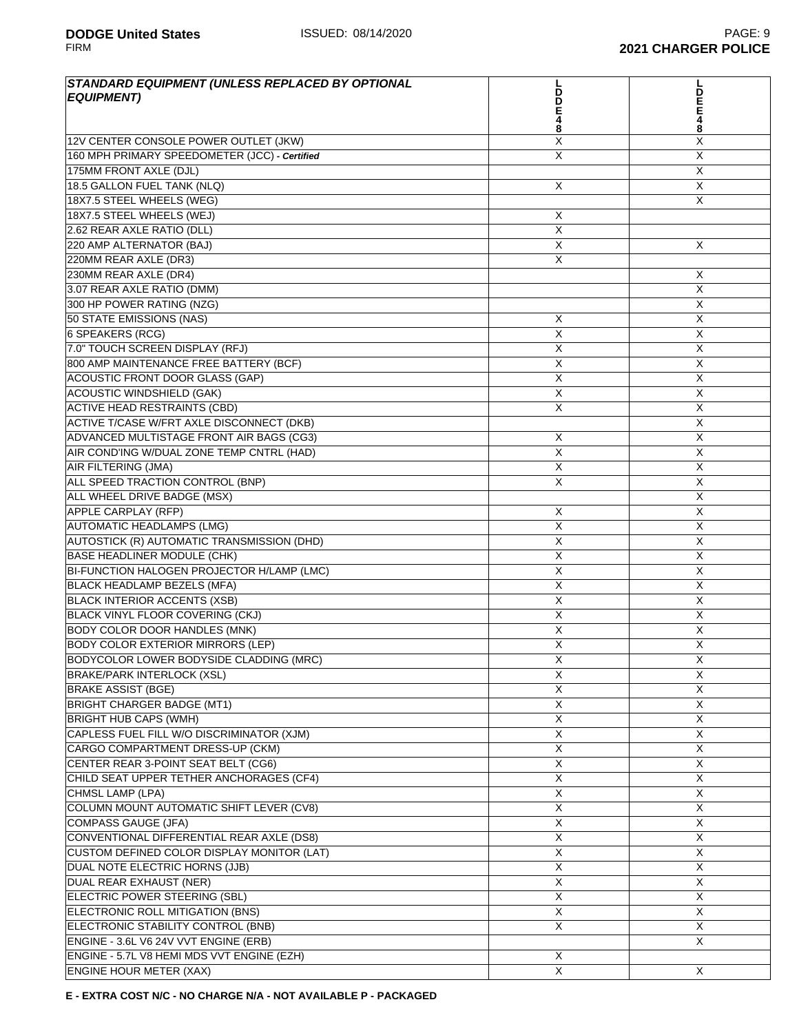| STANDARD EQUIPMENT (UNLESS REPLACED BY OPTIONAL<br><b>EQUIPMENT)</b>      | LDDE48                       | <b>DEE48</b>   |
|---------------------------------------------------------------------------|------------------------------|----------------|
| 12V CENTER CONSOLE POWER OUTLET (JKW)                                     | X                            | X              |
| 160 MPH PRIMARY SPEEDOMETER (JCC) - Certified                             | X                            | X              |
| 175MM FRONT AXLE (DJL)                                                    |                              | X              |
| 18.5 GALLON FUEL TANK (NLQ)                                               | X                            | X              |
| 18X7.5 STEEL WHEELS (WEG)                                                 |                              | X              |
| 18X7.5 STEEL WHEELS (WEJ)                                                 | Χ                            |                |
| 2.62 REAR AXLE RATIO (DLL)                                                | X                            |                |
| 220 AMP ALTERNATOR (BAJ)                                                  | X                            | X              |
| 220MM REAR AXLE (DR3)                                                     | X                            |                |
| 230MM REAR AXLE (DR4)                                                     |                              | X              |
| 3.07 REAR AXLE RATIO (DMM)                                                |                              | X              |
| 300 HP POWER RATING (NZG)                                                 |                              | X              |
| 50 STATE EMISSIONS (NAS)                                                  | X                            | X              |
| 6 SPEAKERS (RCG)                                                          | X                            | X              |
| 7.0" TOUCH SCREEN DISPLAY (RFJ)                                           | X                            | X              |
| 800 AMP MAINTENANCE FREE BATTERY (BCF)                                    | X                            | X              |
| <b>ACOUSTIC FRONT DOOR GLASS (GAP)</b>                                    | X                            | X              |
| <b>ACOUSTIC WINDSHIELD (GAK)</b>                                          | X                            | X              |
| <b>ACTIVE HEAD RESTRAINTS (CBD)</b>                                       | X                            | X              |
| ACTIVE T/CASE W/FRT AXLE DISCONNECT (DKB)                                 |                              | $\overline{X}$ |
| ADVANCED MULTISTAGE FRONT AIR BAGS (CG3)                                  |                              | X              |
| AIR COND'ING W/DUAL ZONE TEMP CNTRL (HAD)                                 | Х<br>X                       | X              |
| AIR FILTERING (JMA)                                                       | X                            | X              |
| ALL SPEED TRACTION CONTROL (BNP)                                          | X                            | X              |
| ALL WHEEL DRIVE BADGE (MSX)                                               |                              | X              |
| <b>APPLE CARPLAY (RFP)</b>                                                |                              | X              |
| <b>AUTOMATIC HEADLAMPS (LMG)</b>                                          | Х<br>X                       | X              |
|                                                                           | X                            | X              |
| AUTOSTICK (R) AUTOMATIC TRANSMISSION (DHD)                                | $\overline{X}$               | $\overline{X}$ |
| BASE HEADLINER MODULE (CHK)<br>BI-FUNCTION HALOGEN PROJECTOR H/LAMP (LMC) |                              |                |
| <b>BLACK HEADLAMP BEZELS (MFA)</b>                                        | X                            | X<br>X         |
| <b>BLACK INTERIOR ACCENTS (XSB)</b>                                       | X<br>X                       | X              |
| BLACK VINYL FLOOR COVERING (CKJ)                                          | X                            | X              |
| <b>BODY COLOR DOOR HANDLES (MNK)</b>                                      | X                            | X              |
| <b>BODY COLOR EXTERIOR MIRRORS (LEP)</b>                                  | X                            | X              |
| BODYCOLOR LOWER BODYSIDE CLADDING (MRC)                                   | X                            | X              |
| <b>BRAKE/PARK INTERLOCK (XSL)</b>                                         | X                            | X              |
| <b>BRAKE ASSIST (BGE)</b>                                                 | X                            | X              |
| <b>BRIGHT CHARGER BADGE (MT1)</b>                                         | X                            | X              |
| <b>BRIGHT HUB CAPS (WMH)</b>                                              | X                            | X              |
| CAPLESS FUEL FILL W/O DISCRIMINATOR (XJM)                                 | X                            | X              |
| CARGO COMPARTMENT DRESS-UP (CKM)                                          | X                            | X              |
| CENTER REAR 3-POINT SEAT BELT (CG6)                                       | X                            | X              |
| CHILD SEAT UPPER TETHER ANCHORAGES (CF4)                                  | Χ                            | X              |
| CHMSL LAMP (LPA)                                                          | X                            | X              |
| COLUMN MOUNT AUTOMATIC SHIFT LEVER (CV8)                                  | $\mathsf X$                  | X              |
|                                                                           |                              | X              |
| COMPASS GAUGE (JFA)                                                       | X<br>X                       | X              |
| CONVENTIONAL DIFFERENTIAL REAR AXLE (DS8)                                 |                              |                |
| CUSTOM DEFINED COLOR DISPLAY MONITOR (LAT)                                | Χ                            | X              |
| DUAL NOTE ELECTRIC HORNS (JJB)                                            | X                            | X              |
| DUAL REAR EXHAUST (NER)                                                   | Χ                            | X              |
| ELECTRIC POWER STEERING (SBL)                                             | X                            | X              |
| ELECTRONIC ROLL MITIGATION (BNS)                                          | X                            | X              |
| ELECTRONIC STABILITY CONTROL (BNB)                                        | Χ                            | X              |
| ENGINE - 3.6L V6 24V VVT ENGINE (ERB)                                     |                              | X              |
| ENGINE - 5.7L V8 HEMI MDS VVT ENGINE (EZH)                                | X<br>$\overline{\mathsf{x}}$ | X              |
| <b>ENGINE HOUR METER (XAX)</b>                                            |                              |                |

**E - EXTRA COST N/C - NO CHARGE N/A - NOT AVAILABLE P - PACKAGED**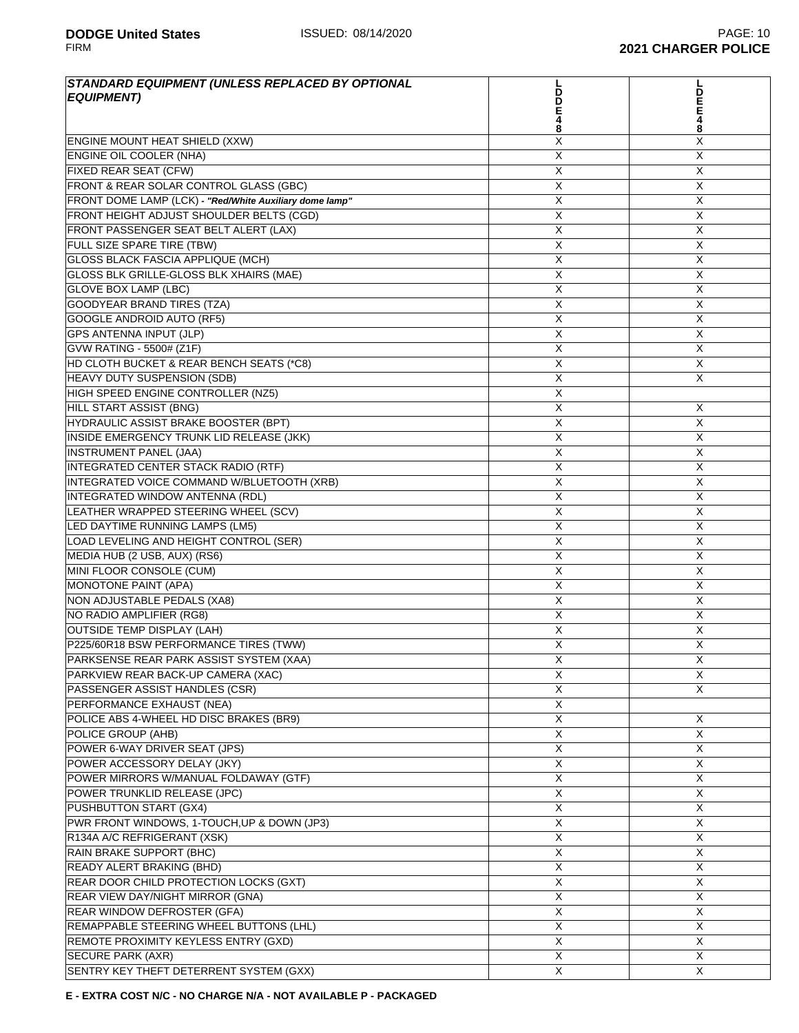| STANDARD EQUIPMENT (UNLESS REPLACED BY OPTIONAL<br><b>EQUIPMENT)</b> | D<br>D<br>Е<br>4             | D<br>E                    |
|----------------------------------------------------------------------|------------------------------|---------------------------|
| <b>ENGINE MOUNT HEAT SHIELD (XXW)</b>                                | 8<br>X                       | 8<br>X                    |
| <b>ENGINE OIL COOLER (NHA)</b>                                       | X                            | X                         |
| FIXED REAR SEAT (CFW)                                                | X                            | X                         |
| FRONT & REAR SOLAR CONTROL GLASS (GBC)                               | X                            | X                         |
| FRONT DOME LAMP (LCK) - "Red/White Auxiliary dome lamp"              | X                            | X                         |
| FRONT HEIGHT ADJUST SHOULDER BELTS (CGD)                             | X                            | X                         |
| FRONT PASSENGER SEAT BELT ALERT (LAX)                                | X                            | $\boldsymbol{\mathsf{X}}$ |
| FULL SIZE SPARE TIRE (TBW)                                           | $\overline{X}$               | $\overline{X}$            |
| <b>GLOSS BLACK FASCIA APPLIQUE (MCH)</b>                             | $\overline{X}$               | Χ                         |
| GLOSS BLK GRILLE-GLOSS BLK XHAIRS (MAE)                              | X                            | X                         |
| <b>GLOVE BOX LAMP (LBC)</b>                                          | X                            | $\mathsf{X}$              |
| <b>GOODYEAR BRAND TIRES (TZA)</b>                                    | X                            | X                         |
| <b>GOOGLE ANDROID AUTO (RF5)</b>                                     | X                            | X                         |
| <b>GPS ANTENNA INPUT (JLP)</b>                                       | X                            | X                         |
| <b>GVW RATING - 5500# (Z1F)</b>                                      | X                            | X                         |
| HD CLOTH BUCKET & REAR BENCH SEATS (*C8)                             | X                            | X                         |
| HEAVY DUTY SUSPENSION (SDB)                                          | $\overline{\mathsf{X}}$      | Χ                         |
| HIGH SPEED ENGINE CONTROLLER (NZ5)                                   | $\overline{X}$               |                           |
| <b>HILL START ASSIST (BNG)</b>                                       | X                            | X                         |
| HYDRAULIC ASSIST BRAKE BOOSTER (BPT)                                 | X                            | X                         |
| INSIDE EMERGENCY TRUNK LID RELEASE (JKK)                             | X                            | X                         |
| <b>INSTRUMENT PANEL (JAA)</b>                                        | X                            | X                         |
| <b>INTEGRATED CENTER STACK RADIO (RTF)</b>                           | X                            | X                         |
| INTEGRATED VOICE COMMAND W/BLUETOOTH (XRB)                           | X                            | X                         |
| INTEGRATED WINDOW ANTENNA (RDL)                                      | X                            | $\overline{X}$            |
| LEATHER WRAPPED STEERING WHEEL (SCV)                                 | X                            | $\boldsymbol{\mathsf{X}}$ |
| LED DAYTIME RUNNING LAMPS (LM5)                                      | X                            | X                         |
| LOAD LEVELING AND HEIGHT CONTROL (SER)                               | X                            | X                         |
| MEDIA HUB (2 USB, AUX) (RS6)                                         | X                            | X                         |
| MINI FLOOR CONSOLE (CUM)                                             | X                            | $\mathsf{X}$              |
| <b>MONOTONE PAINT (APA)</b>                                          | X                            | X                         |
| <b>NON ADJUSTABLE PEDALS (XA8)</b>                                   | X                            | X                         |
| NO RADIO AMPLIFIER (RG8)                                             | X                            | X                         |
| <b>OUTSIDE TEMP DISPLAY (LAH)</b>                                    |                              | X                         |
| P225/60R18 BSW PERFORMANCE TIRES (TWW)                               | X<br>$\overline{\mathsf{X}}$ | $\overline{X}$            |
|                                                                      |                              | $\overline{\mathsf{X}}$   |
| PARKSENSE REAR PARK ASSIST SYSTEM (XAA)                              | $\overline{\mathsf{X}}$<br>X | X                         |
| PARKVIEW REAR BACK-UP CAMERA (XAC)<br>PASSENGER ASSIST HANDLES (CSR) | X                            | X                         |
| PERFORMANCE EXHAUST (NEA)                                            | X                            |                           |
| POLICE ABS 4-WHEEL HD DISC BRAKES (BR9)                              | Χ                            | X                         |
| POLICE GROUP (AHB)                                                   | X                            | X                         |
| POWER 6-WAY DRIVER SEAT (JPS)                                        | X                            | Χ                         |
| POWER ACCESSORY DELAY (JKY)                                          | X                            | X                         |
| POWER MIRRORS W/MANUAL FOLDAWAY (GTF)                                | X                            | X                         |
| POWER TRUNKLID RELEASE (JPC)                                         | $\overline{X}$               | X                         |
| PUSHBUTTON START (GX4)                                               | X                            | X                         |
| PWR FRONT WINDOWS, 1-TOUCH, UP & DOWN (JP3)                          | X                            | X                         |
| R134A A/C REFRIGERANT (XSK)                                          | X                            | X                         |
|                                                                      | X                            | X                         |
| RAIN BRAKE SUPPORT (BHC)                                             |                              | X                         |
| READY ALERT BRAKING (BHD)                                            | X                            |                           |
| REAR DOOR CHILD PROTECTION LOCKS (GXT)                               | X                            | X                         |
| REAR VIEW DAY/NIGHT MIRROR (GNA)                                     | X                            | X                         |
| REAR WINDOW DEFROSTER (GFA)                                          | X                            | X                         |
| REMAPPABLE STEERING WHEEL BUTTONS (LHL)                              | X                            | X                         |
| REMOTE PROXIMITY KEYLESS ENTRY (GXD)                                 | X                            | X                         |
| <b>SECURE PARK (AXR)</b>                                             | $\overline{X}$               | X                         |
| SENTRY KEY THEFT DETERRENT SYSTEM (GXX)                              | $\overline{\mathsf{x}}$      | $\overline{\mathsf{x}}$   |

**E - EXTRA COST N/C - NO CHARGE N/A - NOT AVAILABLE P - PACKAGED**